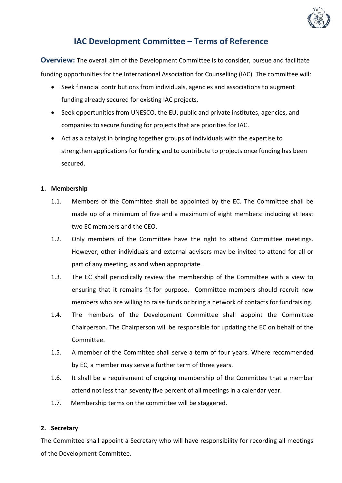

# **IAC Development Committee – Terms of Reference**

**Overview:** The overall aim of the Development Committee is to consider, pursue and facilitate funding opportunities for the International Association for Counselling (IAC). The committee will:

- Seek financial contributions from individuals, agencies and associations to augment funding already secured for existing IAC projects.
- Seek opportunities from UNESCO, the EU, public and private institutes, agencies, and companies to secure funding for projects that are priorities for IAC.
- Act as a catalyst in bringing together groups of individuals with the expertise to strengthen applications for funding and to contribute to projects once funding has been secured.

### **1. Membership**

- 1.1. Members of the Committee shall be appointed by the EC. The Committee shall be made up of a minimum of five and a maximum of eight members: including at least two EC members and the CEO.
- 1.2. Only members of the Committee have the right to attend Committee meetings. However, other individuals and external advisers may be invited to attend for all or part of any meeting, as and when appropriate.
- 1.3. The EC shall periodically review the membership of the Committee with a view to ensuring that it remains fit-for purpose. Committee members should recruit new members who are willing to raise funds or bring a network of contacts for fundraising.
- 1.4. The members of the Development Committee shall appoint the Committee Chairperson. The Chairperson will be responsible for updating the EC on behalf of the Committee.
- 1.5. A member of the Committee shall serve a term of four years. Where recommended by EC, a member may serve a further term of three years.
- 1.6. It shall be a requirement of ongoing membership of the Committee that a member attend not less than seventy five percent of all meetings in a calendar year.
- 1.7. Membership terms on the committee will be staggered.

#### **2. Secretary**

The Committee shall appoint a Secretary who will have responsibility for recording all meetings of the Development Committee.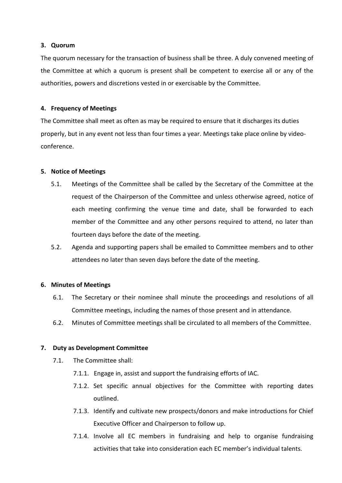#### **3. Quorum**

The quorum necessary for the transaction of business shall be three. A duly convened meeting of the Committee at which a quorum is present shall be competent to exercise all or any of the authorities, powers and discretions vested in or exercisable by the Committee.

### **4. Frequency of Meetings**

The Committee shall meet as often as may be required to ensure that it discharges its duties properly, but in any event not less than four times a year. Meetings take place online by videoconference.

### **5. Notice of Meetings**

- 5.1. Meetings of the Committee shall be called by the Secretary of the Committee at the request of the Chairperson of the Committee and unless otherwise agreed, notice of each meeting confirming the venue time and date, shall be forwarded to each member of the Committee and any other persons required to attend, no later than fourteen days before the date of the meeting.
- 5.2. Agenda and supporting papers shall be emailed to Committee members and to other attendees no later than seven days before the date of the meeting.

# **6. Minutes of Meetings**

- 6.1. The Secretary or their nominee shall minute the proceedings and resolutions of all Committee meetings, including the names of those present and in attendance.
- 6.2. Minutes of Committee meetings shall be circulated to all members of the Committee.

# **7. Duty as Development Committee**

- 7.1. The Committee shall:
	- 7.1.1. Engage in, assist and support the fundraising efforts of IAC.
	- 7.1.2. Set specific annual objectives for the Committee with reporting dates outlined.
	- 7.1.3. Identify and cultivate new prospects/donors and make introductions for Chief Executive Officer and Chairperson to follow up.
	- 7.1.4. Involve all EC members in fundraising and help to organise fundraising activities that take into consideration each EC member's individual talents.